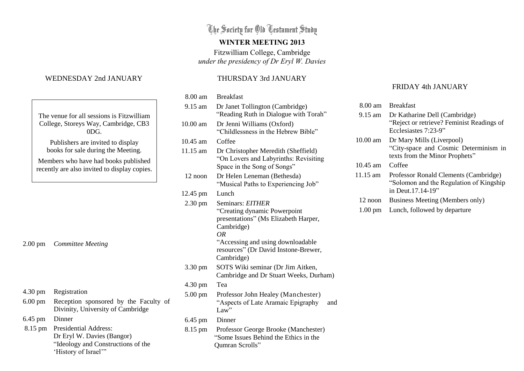The Society for Old Testament Study

#### **WINTER MEETING 2013**

Fitzwilliam College, Cambridge *under the presidency of Dr Eryl W. Davies*

### THURSDAY 3rd JANUARY

| 8.00 am           | <b>Breakfast</b>                                                                                                                                                                           |
|-------------------|--------------------------------------------------------------------------------------------------------------------------------------------------------------------------------------------|
| 9.15 am           | Dr Janet Tollington (Cambridge)<br>"Reading Ruth in Dialogue with Torah"                                                                                                                   |
| $10.00$ am        | Dr Jenni Williams (Oxford)<br>"Childlessness in the Hebrew Bible"                                                                                                                          |
| $10.45$ am        | Coffee                                                                                                                                                                                     |
| 11.15 am          | Dr Christopher Meredith (Sheffield)<br>"On Lovers and Labyrinths: Revisiting<br>Space in the Song of Songs"                                                                                |
| 12 noon           | Dr Helen Leneman (Bethesda)<br>"Musical Paths to Experiencing Job"                                                                                                                         |
| 12.45 pm          | Lunch                                                                                                                                                                                      |
| $2.30 \text{ pm}$ | Seminars: EITHER<br>"Creating dynamic Powerpoint"<br>presentations" (Ms Elizabeth Harper,<br>Cambridge)<br>OR<br>"Accessing and using downloadable<br>resources" (Dr David Instone-Brewer, |
|                   | Cambridge)                                                                                                                                                                                 |
| 3.30 pm           | SOTS Wiki seminar (Dr Jim Aitken,<br>Cambridge and Dr Stuart Weeks, Durham)                                                                                                                |
| 4.30 pm           | Tea                                                                                                                                                                                        |
| $5.00 \text{ pm}$ | Professor John Healey (Manchester)<br>"Aspects of Late Aramaic Epigraphy"<br>and<br>Law"                                                                                                   |
| $6.45$ pm         | Dinner                                                                                                                                                                                     |
| 8.15 pm           | Professor George Brooke (Manchester)<br>"Some Issues Behind the Ethics in the<br>Qumran Scrolls"                                                                                           |

## FRIDAY 4th JANUARY

| 8.00 am           | <b>Breakfast</b>                                                                                        |
|-------------------|---------------------------------------------------------------------------------------------------------|
| $9.15$ am         | Dr Katharine Dell (Cambridge)<br>"Reject or retrieve? Feminist Readings of<br>Ecclesiastes 7:23-9"      |
| $10.00$ am        | Dr Mary Mills (Liverpool)<br>"City-space and Cosmic Determinism in<br>texts from the Minor Prophets"    |
| $10.45$ am        | Coffee                                                                                                  |
| 11.15 am          | Professor Ronald Clements (Cambridge)<br>"Solomon and the Regulation of Kingship"<br>in Deut. 17.14-19" |
| $12$ noon         | Business Meeting (Members only)                                                                         |
| $1.00 \text{ pm}$ | Lunch, followed by departure                                                                            |

# WEDNESDAY 2nd JANUARY

|                                                                                      | The venue for all sessions is Fitzwilliam<br>College, Storeys Way, Cambridge, CB3<br>0 <sub>DG</sub> |  |
|--------------------------------------------------------------------------------------|------------------------------------------------------------------------------------------------------|--|
| Publishers are invited to display<br>books for sale during the Meeting.              |                                                                                                      |  |
| Members who have had books published<br>recently are also invited to display copies. |                                                                                                      |  |
|                                                                                      |                                                                                                      |  |
|                                                                                      |                                                                                                      |  |
| $2.00 \text{ pm}$                                                                    | <b>Committee Meeting</b>                                                                             |  |
|                                                                                      |                                                                                                      |  |
| $4.30 \text{ pm}$                                                                    | Registration                                                                                         |  |
| $6.00 \text{ pm}$                                                                    | Reception sponsored by the Faculty of<br>Divinity, University of Cambridge                           |  |
| 6.45 pm                                                                              | Dinner                                                                                               |  |

 8.15 pm Presidential Address: Dr Eryl W. Davies (Bangor) "Ideology and Constructions of the 'History of Israel'"